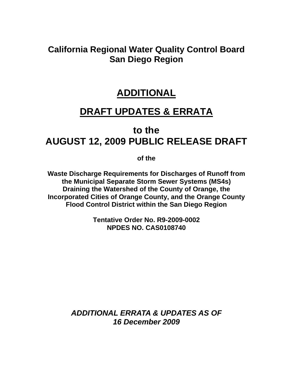# **California Regional Water Quality Control Board San Diego Region**

# **ADDITIONAL**

# **DRAFT UPDATES & ERRATA**

# **to the AUGUST 12, 2009 PUBLIC RELEASE DRAFT**

**of the** 

**Waste Discharge Requirements for Discharges of Runoff from the Municipal Separate Storm Sewer Systems (MS4s) Draining the Watershed of the County of Orange, the Incorporated Cities of Orange County, and the Orange County Flood Control District within the San Diego Region** 

> **Tentative Order No. R9-2009-0002 NPDES NO. CAS0108740**

*ADDITIONAL ERRATA & UPDATES AS OF 16 December 2009*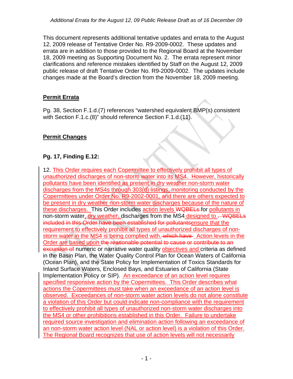This document represents additional tentative updates and errata to the August 12, 2009 release of Tentative Order No. R9-2009-0002. These updates and errata are in addition to those provided to the Regional Board at the November 18, 2009 meeting as Supporting Document No. 2. The errata represent minor clarifications and reference mistakes identified by Staff on the August 12, 2009 public release of draft Tentative Order No. R9-2009-0002. The updates include changes made at the Board's direction from the November 18, 2009 meeting.

# **Permit Errata**

Pg. 38, Section F.1.d.(7) references "watershed equivalent BMP(s) consistent with Section F.1.c.(8)" should reference Section F.1.d.(11).

# **Permit Changes**

# **Pg. 17, Finding E.12:**

12. This Order requires each Copermittee to effectively prohibit all types of unauthorized discharges of non-storm water into its MS4. However, historically pollutants have been identified as present in dry weather non-storm water discharges from the MS4s through 303(d) listings, monitoring conducted by the Copermittees under Order No. R9-2002-0001, and there are others expected to be present in dry weather non-storm water discharges because of the nature of these discharges. This Order includes action levels WQBELs for pollutants in non-storm water, dry weather, discharges from the MS4 designed to . WQBELs included in this Order have been established for pollutantsensure that the requirement to effectively prohibit all types of unauthorized discharges of nonstorm water in the MS4 is being complied with. which have Action levels in the Order are based upon the reasonable potential to cause or contribute to an excursion of numeric or narrative water quality objectives and criteria as defined in the Basin Plan, the Water Quality Control Plan for Ocean Waters of California (Ocean Plan), and the State Policy for Implementation of Toxics Standards for Inland Surface Waters, Enclosed Bays, and Estuaries of California (State Implementation Policy or SIP). An exceedance of an action level requires specified responsive action by the Copermittees. This Order describes what actions the Copermittees must take when an exceedance of an action level is observed. Exceedances of non-storm water action levels do not alone constitute a violation of this Order but could indicate non-compliance with the requirement to effectively prohibit all types of unauthorized non-storm water discharges into the MS4 or other prohibitions established in this Order. Failure to undertake required source investigation and elimination action following an exceedance of an non-storm water action level (NAL or action level) is a violation of this Order. The Regional Board recognizes that use of action levels will not necessarily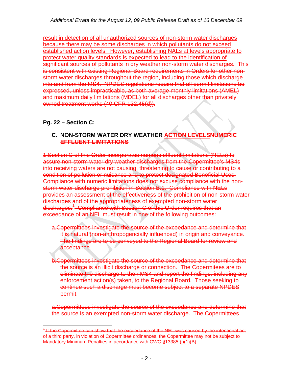result in detection of all unauthorized sources of non-storm water discharges because there may be some discharges in which pollutants do not exceed established action levels. However, establishing NALs at levels appropriate to protect water quality standards is expected to lead to the identification of significant sources of pollutants in dry weather non-storm water discharges. This is consistent with existing Regional Board requirements in Orders for other nonstorm water discharges throughout the region, including those which discharge into and from the MS4. NPDES regulations require that all permit limitations be expressed, unless impracticable, as both average monthly limitations (AMEL) and maximum daily limitations (MDEL) for all discharges other than privately owned treatment works (40 CFR 122.45(d)).

# **Pg. 22 – Section C:**

# **C. NON-STORM WATER DRY WEATHER ACTION LEVELSNUMERIC EFFLUENT LIMITATIONS**

1.Section C of this Order incorporates numeric effluent limitations (NELs) to assure non-storm water dry weather discharges from the Copermittee's MS4s into receiving waters are not causing, threatening to cause or contributing to a condition of pollution or nuisance and to protect designated Beneficial Uses. Compliance with numeric limitations does not excuse compliance with the nonstorm water discharge prohibition in Section B.1. Compliance with NELs provides an assessment of the effectiveness of the prohibition of non-storm water discharges and of the appropriateness of exempted non-storm water discharges.<sup>1</sup> Compliance with Section C of this Order requires that an exceedance of an NEL must result in one of the following outcomes:

a.Copermittees investigate the source of the exceedance and determine that it is natural (non-anthropogencially influenced) in origin and conveyance. The findings are to be conveyed to the Regional Board for review and acceptance.

b.Copermittees investigate the source of the exceedance and determine that the source is an illicit discharge or connection. The Copermitees are to eliminate the discharge to their MS4 and report the findings, including any enforcement action(s) taken, to the Regional Board. Those seeking to continue such a discharge must become subject to a separate NPDES permit.

a.Copermittees investigate the source of the exceedance and determine that the source is an exempted non-storm water discharge. The Copermittees

 $\overline{a}$ <sup>1</sup> If the Copermittee can show that the exceedance of the NEL was caused by the intentional act of a third party, in violation of Copermittee ordinances, the Copermittee may not be subject to Mandatory Minimum Penalties in accordance with CWC §13385 (j)(1)(B).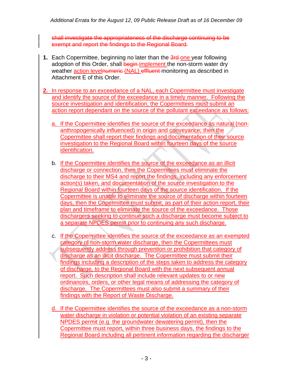shall investigate the appropriateness of the discharge continuing to be exempt and report the findings to the Regional Board.

- **1.** Each Copermittee, beginning no later than the 3rd-one year following adoption of this Order, shall begin-implement the non-storm water dry weather action levelnumeric (NAL) effluent monitoring as described in Attachment E of this Order.
- **2.** In response to an exceedance of a NAL, each Copermittee must investigate and identify the source of the exceedance in a timely manner. Following the source investigation and identification, the Copermittees must submit an action report dependant on the source of the pollutant exceedance as follows:
	- a. If the Copermittee identifies the source of the exceedance as natural (nonanthropogenically influenced) in origin and conveyance; then the Copermittee shall report their findings and documentation of their source investigation to the Regional Board within fourteen days of the source identification.
	- b. If the Copermittee identifies the source of the exceedance as an illicit discharge or connection, then the Copermitees must eliminate the discharge to their MS4 and report the findings, including any enforcement action(s) taken, and documentation of the source investigation to the Regional Board within fourteen days of the source identification. If the Copermittee is unable to eliminate the source of discharge within fourteen days, then the Copermittee must submit, as part of their action report, their plan and timeframe to eliminate the source of the exceedance. Those dischargers seeking to continue such a discharge must become subject to a separate NPDES permit prior to continuing any such discharge.
	- c. If the Copermittee identifies the source of the exceedance as an exempted category of non-storm water discharge, then the Copermittees must subsequently address through prevention or prohibition that category of discharge as an illicit discharge. The Copermittee must submit their findings including a description of the steps taken to address the category of discharge, to the Regional Board with the next subsequent annual report. Such description shall include relevant updates to or new ordinances, orders, or other legal means of addressing the category of discharge. The Copermittees must also submit a summary of their findings with the Report of Waste Discharge.
	- d. If the Copermittee identifies the source of the exceedance as a non-storm water discharge in violation or potential violation of an existing separate NPDES permit (e.g. the groundwater dewatering permit), then the Copermittee must report, within three business days, the findings to the Regional Board including all pertinent information regarding the discharger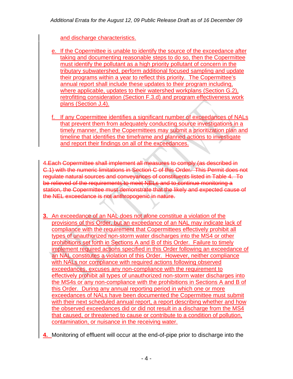and discharge characteristics.

- e. If the Copermittee is unable to identify the source of the exceedance after taking and documenting reasonable steps to do so, then the Copermittee must identify the pollutant as a high priority pollutant of concern in the tributary subwatershed, perform additional focused sampling and update their programs within a year to reflect this priority. The Copermittee's annual report shall include these updates to their program including, where applicable, updates to their watershed workplans (Section G.2), retrofitting consideration (Section F.3.d) and program effectiveness work plans (Section J.4).
- f. If any Copermittee identifies a significant number of exceedances of NALs that prevent them from adequately conducting source investigations in a timely manner, then the Copermittees may submit a prioritization plan and timeline that identifies the timeframe and planned actions to investigate and report their findings on all of the exceedances.

4.Each Copermittee shall implement all measures to comply (as described in C.1) with the numeric limitations in Section C of this Order. This Permit does not regulate natural sources and conveyances of constituents listed in Table 4. To be relieved of the requirements to meet NELs and to continue monitoring a station, the Copermittee must demonstrate that the likely and expected cause of the NEL exceedance is not anthropogenic in nature.

- **3.** An exceedance of an NAL does not alone constitue a violation of the provisions of this Order, but an exceedance of an NAL may indicate lack of compliance with the requirement that Copermittees effectively prohibit all types of unauthorized non-storm water discharges into the MS4 or other prohibitions set forth in Sections A and B of this Order. Failure to timely implement required actions specified in this Order following an exceedance of an NAL constitutes a violation of this Order. However, neither compliance with NALs nor compliance with required actions following observed exceedances, excuses any non-compliance with the requirement to effectively prohibit all types of unauthorized non-storm water discharges into the MS4s or any non-compliance with the prohibitions in Sections A and B of this Order. During any annual reporting period in which one or more exceedances of NALs have been documented the Copermittee must submit with their next scheduled annual report, a report describing whether and how the observed exceedances did or did not result in a discharge from the MS4 that caused, or threatened to cause or contribute to a condition of pollution, contamination, or nuisance in the receiving water.
- **4.** Monitoring of effluent will occur at the end-of-pipe prior to discharge into the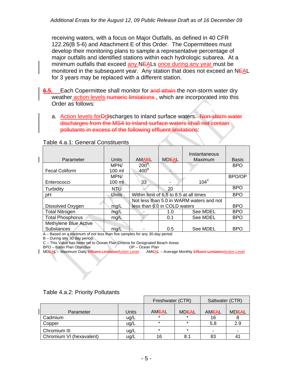receiving waters, with a focus on Major Outfalls, as defined in 40 CFR 122.26(B 5-6) and Attachment E of this Order. The Copermittees must develop their monitoring plans to sample a representative percentage of major outfalls and identified stations within each hydrologic subarea. At a minimum outfalls that exceed any NEALs once during any year must be monitored in the subsequent year. Any station that does not exceed an  $NEAL$ for 3 years may be replaced with a different station.

- **6.5.** Each Copermittee shall monitor for and attain the non-storm water dry weather action levels numeric limitations, which are incorporated into this Order as follows:
	- a. Action levels for D discharges to inland surface waters: Non-storm water discharges from the MS4 to inland surface waters shall not contain pollutants in excess of the following effluent limitations:

|                                       |              |                                         |              | Instantaneous                            |              |
|---------------------------------------|--------------|-----------------------------------------|--------------|------------------------------------------|--------------|
| Parameter                             | <b>Units</b> | <b>AMAEL</b>                            | <b>MDEAL</b> | Maximum                                  | <b>Basis</b> |
|                                       | MPN/         | 200 <sup>A</sup>                        |              |                                          | <b>BPO</b>   |
| <b>Fecal Coliform</b>                 | 100 ml       | 400 <sup>B</sup>                        |              |                                          |              |
|                                       | MPN/         |                                         |              |                                          | BPO/OP       |
| Enterococci                           | 100 ml       | 33                                      |              | $104^{\circ}$                            |              |
| Turbidity                             | <b>NTU</b>   |                                         | 20           |                                          | <b>BPO</b>   |
| pH                                    | <b>Units</b> | Within limit of 6.5 to 8.5 at all times |              |                                          | <b>BPO</b>   |
|                                       |              |                                         |              | Not less than 5.0 in WARM waters and not |              |
| Dissolved Oxygen                      | mg/L         | less than 6.0 in COLD waters            |              |                                          | <b>BPO</b>   |
| <b>Total Nitrogen</b>                 | mg/L         |                                         | 1.0          | See MDEL                                 | <b>BPO</b>   |
| <b>Total Phosphorus</b>               | mg/L         |                                         | 0.1          | See MDEL                                 | <b>BPO</b>   |
| Methylene Blue Active                 |              |                                         |              |                                          |              |
| Substances<br>$\sim$ $\sim$<br>$\sim$ | mg/L         |                                         | 0.5          | See MDEL                                 | <b>BPO</b>   |

#### Table 4.a.1: General Constituents

A – Based on a minimum of not less than five samples for any 30-day period

B – During any 30 day period

C – This Value has been set to Ocean Plan Criteria for Designated Beach Areas

BPO – Basin Plan Objective<br>| MDEAL – Maximum Daily Efflu **MAction Level AMEAL** – Average Monthly Effluent Limitation Action Level

|                          |       | Freshwater (CTR) |         | Saltwater (CTR) |              |
|--------------------------|-------|------------------|---------|-----------------|--------------|
| Parameter                | Units | <b>AMEAL</b>     | MDEAL   | <b>AMEAL</b>    | <b>MDEAL</b> |
| Cadmium                  | ug/L  |                  | $\star$ | 16              |              |
| Copper                   | ug/L  |                  | $\star$ | 5.8             | 2.9          |
| Chromium III             | ug/L  | $\star$          | $\star$ | ٠               | -            |
| Chromium VI (hexavalent) | ug/L  | 16               | 8.      | 83              |              |

#### Table 4.a.2: Priority Pollutants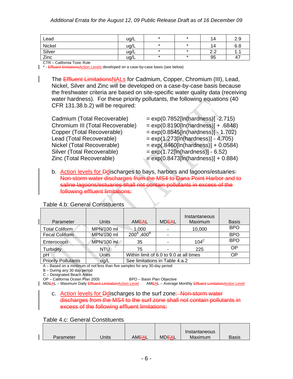| Lead   | ug/L | *       | $\star$ | 14                   | 2.9 |
|--------|------|---------|---------|----------------------|-----|
| Nickel | ug/L | $\star$ | $\star$ | 14                   | 6.8 |
| Silver | ug/L | $\star$ | $\star$ | $\sim$ $\sim$<br>ے.ے | . . |
| Zinc   | ug/L | $\star$ | ÷       | 95                   | 47  |

CTR – California Toxic Rule

\* - Effluent limitationsAction Levels developed on a case-by-case basis (see below)

The Effluent LimitationsNALs for Cadmium, Copper, Chromium (III), Lead, Nickel, Silver and Zinc will be developed on a case-by-case basis because the freshwater criteria are based on site-specific water quality data (receiving water hardness). For these priority pollutants, the following equations (40 CFR 131.38.b.2) will be required:

| Cadmium (Total Recoverable)      | $= exp(0.7852[ln(hardness)] - 2.715)$ |
|----------------------------------|---------------------------------------|
| Chromium III (Total Recoverable) | $= exp(0.8190[ln(hardness)] + .6848)$ |
| Copper (Total Recoverable)       | $= exp(0.8545[ln(hardness)] - 1.702)$ |
| Lead (Total Recoverable)         | $= exp(1.273[ln(hardness)] - 4.705)$  |
| Nickel (Total Recoverable)       | $= exp(.8460[ln(hardness)] + 0.0584)$ |
| Silver (Total Recoverable)       | $= exp(1.72[ln(hardness)] - 6.52)$    |
| Zinc (Total Recoverable)         | $= exp(0.8473[ln(hardness)] + 0.884)$ |

b.Action levels for Ddischarges to bays, harbors and lagoons/estuaries: Non-storm water discharges from the MS4 to Dana Point Harbor and to saline lagoons/estuaries shall not contain pollutants in excess of the following effluent limitations:

| Parameter                  | Units      | <b>AMEAL</b>                            | <b>MDEAL</b> | Instantaneous<br>Maximum | <b>Basis</b> |
|----------------------------|------------|-----------------------------------------|--------------|--------------------------|--------------|
| <b>Total Coliform</b>      | MPN/100 ml | 1,000                                   |              | 10,000                   | <b>BPO</b>   |
| <b>Fecal Coliform</b>      | MPN/100 ml | $200^{\circ}$ , 400 <sup>B</sup>        |              |                          | <b>BPO</b>   |
| Enterococci                | MPN/100 ml | 35                                      |              | $104^\circ$              | <b>BPO</b>   |
| Turbidity                  | <b>NTU</b> | 75                                      |              | 225                      | <b>OP</b>    |
| pH                         | Units      | Within limit of 6.0 to 9.0 at all times |              |                          | ОP           |
| <b>Priority Pollutants</b> | ug/L       | See limitations in Table 4.a.2          |              |                          |              |

### Table 4.b: General Constituents

A – Based on a minimum of not less than five samples for any 30-day period

B – During any 30 day period

C – Designated Beach Areas

OP – California Ocean Plan 2005 BPO – Basin Plan Objective<br>MDEAL – Maximum Daily Effluent Limitation Action Level AMEAL – Average nAction Level — AM<del>E</del>AL – Average Monthly Effluent LimitationAction Level

### c. Action levels for Ddischarges to the surf zone: Non-storm water discharges from the MS4 to the surf zone shall not contain pollutants in excess of the following effluent limitations:

### Table 4.c: General Constituents

|           |       |       |       | Instantaneous |              |
|-----------|-------|-------|-------|---------------|--------------|
| Parameter | Jnits | AMEAL | MDEAL | Maximum       | <b>Basis</b> |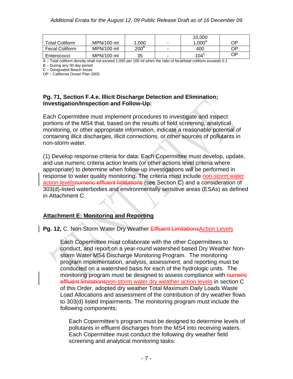| <b>Total Coliform</b> | MPN/100 ml | .000               |                | 10,000<br>$1,000^{\circ}$ | NΡ |
|-----------------------|------------|--------------------|----------------|---------------------------|----|
| <b>Fecal Coliform</b> | MPN/100 ml | $200^{\mathtt{B}}$ |                | 400                       | nР |
| Enterococci           | MPN/100 ml | 35                 | $\blacksquare$ | $104^\circ$               | ОP |

A – Total coliform density shall not exceed 1,000 per 100 ml when the ratio of fecal/total coliform exceeds 0.1

B – During any 30 day period

C – Designated Beach Areas

OP – California Ocean Plan 2005

# **Pg. 71, Section F.4.e. Illicit Discharge Detection and Elimination; Investigation/Inspection and Follow-Up:**

Each Copermittee must implement procedures to investigate and inspect portions of the MS4 that, based on the results of field screening, analytical monitoring, or other appropriate information, indicate a reasonable potential of containing illicit discharges, illicit connections, or other sources of pollutants in non-storm water.

(1) Develop response criteria for data: Each Copermittee must develop, update, and use numeric criteria action levels (or other actions level criteria where appropriate) to determine when follow-up investigations will be performed in response to water quality monitoring. The criteria must include non-storm water action levelsnumeric effluent limitations (see Section C) and a consideration of 303(d)-listed waterbodies and environmentally sensitive areas (ESAs) as defined in Attachment C.

# **Attachment E: Monitoring and Reporting**

**Pg. 12, C. Non-Storm Water Dry Weather Effluent Limitations Action Levels** 

Each Copermittee must collaborate with the other Copermittees to conduct, and report on a year-round watershed based Dry Weather Nonstorm Water MS4 Discharge Monitoring Program. The monitoring program implementation, analysis, assessment, and reporting must be conducted on a watershed basis for each of the hydrologic units. The monitoring program must be designed to assess compliance with numerie effluent limitationsnon-storm water dry weather action levels in section C of this Order, adopted dry weather Total Maximum Daily Loads Waste Load Allocations and assessment of the contribution of dry weather flows to 303(d) listed impairments. The monitoring program must include the following components;

Each Copermittee's program must be designed to determine levels of pollutants in effluent discharges from the MS4 into receiving waters. Each Copermittee must conduct the following dry weather field screening and analytical monitoring tasks: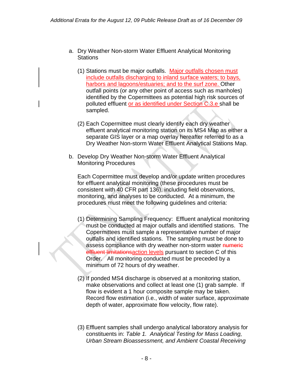- a. Dry Weather Non-storm Water Effluent Analytical Monitoring **Stations** 
	- (1) Stations must be major outfalls. Major outfalls chosen must include outfalls discharging to inland surface waters; to bays, harbors and lagoons/estuaries; and to the surf zone. Other outfall points (or any other point of access such as manholes) identified by the Copermittees as potential high risk sources of polluted effluent or as identified under Section C.3.e shall be sampled.
	- (2) Each Copermittee must clearly identify each dry weather effluent analytical monitoring station on its MS4 Map as either a separate GIS layer or a map overlay hereafter referred to as a Dry Weather Non-storm Water Effluent Analytical Stations Map.
- b. Develop Dry Weather Non-storm Water Effluent Analytical Monitoring Procedures

Each Copermittee must develop and/or update written procedures for effluent analytical monitoring (these procedures must be consistent with 40 CFR part 136), including field observations, monitoring, and analyses to be conducted. At a minimum, the procedures must meet the following guidelines and criteria:

- (1) Determining Sampling Frequency: Effluent analytical monitoring must be conducted at major outfalls and identified stations. The Copermittees must sample a representative number of major outfalls and identified stations. The sampling must be done to assess compliance with dry weather non-storm water numeric effluent limitationsaction levels pursuant to section C of this Order. All monitoring conducted must be preceded by a minimum of 72 hours of dry weather.
- (2) If ponded MS4 discharge is observed at a monitoring station, make observations and collect at least one (1) grab sample. If flow is evident a 1 hour composite sample may be taken. Record flow estimation (i.e., width of water surface, approximate depth of water, approximate flow velocity, flow rate).
- (3) Effluent samples shall undergo analytical laboratory analysis for constituents in: *Table 1. Analytical Testing for Mass Loading, Urban Stream Bioassessment, and Ambient Coastal Receiving*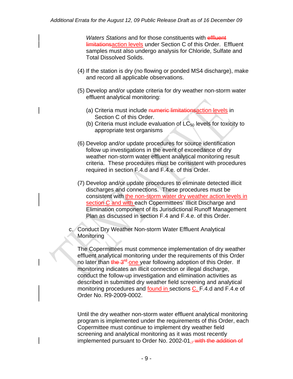*Waters Stations* and for those constituents with effluent limitationsaction levels under Section C of this Order. Effluent samples must also undergo analysis for Chloride, Sulfate and Total Dissolved Solids.

- (4) If the station is dry (no flowing or ponded MS4 discharge), make and record all applicable observations.
- (5) Develop and/or update criteria for dry weather non-storm water effluent analytical monitoring:
	- (a) Criteria must include numeric limitationsaction levels in Section C of this Order.
	- (b) Criteria must include evaluation of  $LC_{50}$  levels for toxicity to appropriate test organisms
- (6) Develop and/or update procedures for source identification follow up investigations in the event of exceedance of dry weather non-storm water effluent analytical monitoring result criteria. These procedures must be consistent with procedures required in section F.4.d and F.4.e. of this Order.
- (7) Develop and/or update procedures to eliminate detected illicit discharges and connections. These procedures must be consistent with the non-storm water dry weather action levels in section C and with each Copermittees' Illicit Discharge and Elimination component of its Jurisdictional Runoff Management Plan as discussed in section F.4 and F.4.e. of this Order.
- c. Conduct Dry Weather Non-storm Water Effluent Analytical **Monitoring**

The Copermittees must commence implementation of dry weather effluent analytical monitoring under the requirements of this Order no later than the 3<sup>rd</sup>-one year following adoption of this Order. If monitoring indicates an illicit connection or illegal discharge, conduct the follow-up investigation and elimination activities as described in submitted dry weather field screening and analytical monitoring procedures and found in sections  $C<sub>1</sub>$ , F.4.d and F.4.e of Order No. R9-2009-0002.

Until the dry weather non-storm water effluent analytical monitoring program is implemented under the requirements of this Order, each Copermittee must continue to implement dry weather field screening and analytical monitoring as it was most recently implemented pursuant to Order No. 2002-01.<del>, with the addition of</del>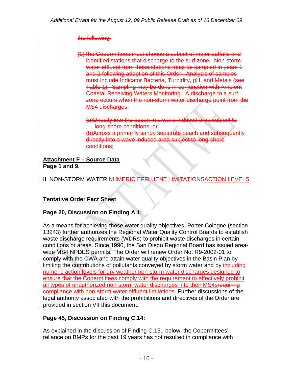# the following:

(1)The Copermittees must choose a subset of major outfalls and identified stations that discharge to the surf zone. Non-storm water effluent from these stations must be sampled in years 4 and 2 following adoption of this Order. Analysis of samples must include Indicator Bacteria, Turbidity, pH, and Metals (see Table 1). Sampling may be done in conjunction with Ambient Coastal Receiving Waters Monitoring. A discharge to a surf zone occurs when the non-storm water discharge point from the MS4 discharges:

(a)Directly into the ocean in a wave induced area subject to long-shore conditions; or

(b)Across a primarily sandy substrate beach and subsequently directly into a wave induced area subject to long-shore conditions;

**Attachment F – Source Data Page 1 and 9,**

II. NON-STORM WATER NUMERIC EFFLUENT LIMITATIONSACTION LEVELS

# **Tentative Order Fact Sheet**

# **Page 20, Discussion on Finding A.1:**

As a means for achieving those water quality objectives, Porter-Cologne (section 13243) further authorizes the Regional Water Quality Control Boards to establish waste discharge requirements (WDRs) to prohibit waste discharges in certain conditions or areas. Since 1990, the San Diego Regional Board has issued areawide MS4 NPDES permits. The Order will renew Order No. R9-2002-01 to comply with the CWA and attain water quality objectives in the Basin Plan by limiting the contributions of pollutants conveyed by storm water and by including numeric action levels for dry weather non-storm water discharges designed to ensure that the Copermittees comply with the requirement to effectively prohibit all types of unauthorized non-storm water discharges into their MS4srequiring compliance with non-storm water effluent limitations. Further discussions of the legal authority associated with the prohibitions and directives of the Order are provided in section VII this document.

# **Page 45, Discussion on Finding C.14:**

As explained in the discussion of Finding C.15., below, the Copermittees' reliance on BMPs for the past 19 years has not resulted in compliance with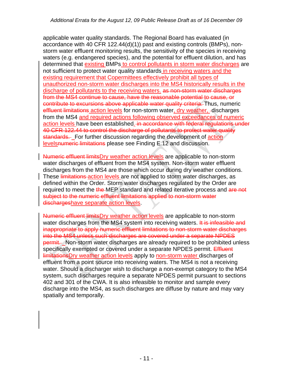applicable water quality standards. The Regional Board has evaluated (in accordance with 40 CFR 122.44(d)(1)) past and existing controls (BMPs), nonstorm water effluent monitoring results, the sensitivity of the species in receiving waters (e.g. endangered species), and the potential for effluent dilution, and has determined that existing BMPs to control pollutants in storm water discharges are not sufficient to protect water quality standards in receiving waters and the existing requirement that Copermittees effectively prohibit all types of unauthorized non-storm water discharges into the MS4 historically results in the discharge of pollutants to the receiving waters. as non-storm water discharges from the MS4 continue to cause, have the reasonable potential to cause, or contribute to excursions above applicable water quality criteria. Thus, numeric effluent limitations action levels for non-storm water, dry weather, -discharges from the MS4 and required actions following observed exceedances of numeric action levels have been established. in accordance with federal regulations under 40 CFR 122.44 to control the discharge of pollutants to protect water quality standards. For further discussion regarding the development of action levelsnumeric limitations please see Finding E.12 and discussion.

Numeric effluent limitsDry weather action levels are applicable to non-storm water discharges of effluent from the MS4 system. Non-storm water effluent discharges from the MS4 are those which occur during dry weather conditions. These limitations action levels are not applied to storm water discharges, as defined within the Order. Storm water discharges regulated by the Order are required to meet the the MEP standard and related iterative process and are not subject to the numeric effluent limitations applied to non-storm water dischargeshave separate action levels.

Numeric effluent limitsDry weather action levels are applicable to non-storm water discharges from the MS4 system into receiving waters. It is infeasible and inappropriate to apply numeric effluent limitations to non-storm water discharges into the MS4 unless such discharges are covered under a separate NPDES permit. Non-storm water discharges are already required to be prohibited unless specifically exempted or covered under a separate NPDES permit. Effluent limitationsDry weather action levels apply to non-storm water discharges of effluent from a point source into receiving waters. The MS4 is not a receiving water. Should a discharger wish to discharge a non-exempt category to the MS4 system, such discharges require a separate NPDES permit pursuant to sections 402 and 301 of the CWA. It is also infeasible to monitor and sample every discharge into the MS4, as such discharges are diffuse by nature and may vary spatially and temporally.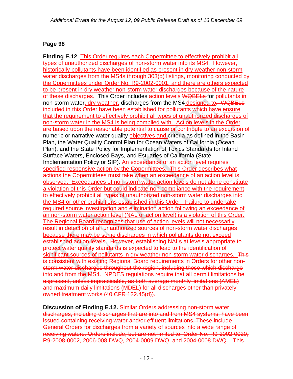# **Page 98**

**Finding E.12** This Order requires each Copermittee to effectively prohibit all types of unauthorized discharges of non-storm water into its MS4. However, historically pollutants have been identified as present in dry weather non-storm water discharges from the MS4s through 303(d) listings, monitoring conducted by the Copermittees under Order No. R9-2002-0001, and there are others expected to be present in dry weather non-storm water discharges because of the nature of these discharges. This Order includes action levels WQBELs for pollutants in non-storm water, dry weather, discharges from the MS4 designed to. WQBELs included in this Order have been established for pollutants which have ensure that the requirement to effectively prohibit all types of unauthorized discharges of non-storm water in the MS4 is being complied with. Action levels in the Order are based upon the reasonable potential to cause or contribute to an excursion of numeric or narrative water quality objectives and criteria as defined in the Basin Plan, the Water Quality Control Plan for Ocean Waters of California (Ocean Plan), and the State Policy for Implementation of Toxics Standards for Inland Surface Waters, Enclosed Bays, and Estuaries of California (State Implementation Policy or SIP). An exceedance of an action level requires specified responsive action by the Copermittees. This Order describes what actions the Copermittees must take when an exceedance of an action level is observed. Exceedances of non-storm water action levels do not alone constitute a violation of this Order but could indicate non-compliance with the requirement to effectively prohibit all types of unauthorized non-storm water discharges into the MS4 or other prohibitions established in this Order. Failure to undertake required source investigation and elimination action following an exceedance of an non-storm water action level (NAL or action level) is a violation of this Order. The Regional Board recognizes that use of action levels will not necessarily result in detection of all unauthorized sources of non-storm water discharges because there may be some discharges in which pollutants do not exceed established action levels. However, establishing NALs at levels appropriate to protect water quality standards is expected to lead to the identification of significant sources of pollutants in dry weather non-storm water discharges. This is consistent with existing Regional Board requirements in Orders for other nonstorm water discharges throughout the region, including those which discharge into and from the MS4. NPDES regulations require that all permit limitations be expressed, unless impracticable, as both average monthly limitations (AMEL) and maximum daily limitations (MDEL) for all discharges other than privately owned treatment works (40 CFR 122.45(d)).

**Discussion of Finding E.12.** Similar Orders addressing non-storm water discharges, including discharges that are into and from MS4 systems, have been issued containing receiving water and/or effluent limitations. These include General Orders for discharges from a variety of sources into a wide range of receiving waters. Orders include, but are not limited to, Order No. R9-2002-0020, R9-2008-0002, 2006-008 DWQ, 2004-0009 DWQ, and 2004-0008 DWQ. This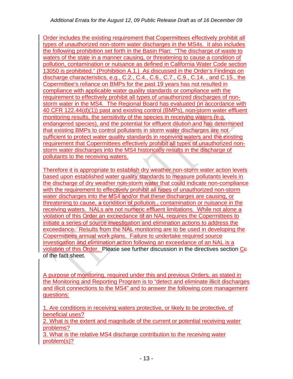Order includes the existing requirement that Copermittees effectively prohibit all types of unauthorized non-storm water discharges in the MS4s. It also includes the following prohibition set forth in the Basin Plan: "The discharge of waste to waters of the state in a manner causing, or threatening to cause a condition of pollution, contamination or nuisance as defined in California Water Code section 13050 is prohibited." (Prohibition A.1.) As discussed in the Order's Findings on discharge characteristics, e.g., C.2., C.4., C.6., C.7., C.9., C.14. , and C.15., the Copermittee's reliance on BMPs for the past 19 years has not resulted in compliance with applicable water quality standards or compliance with the requirement to effectively prohibit all types of unauthorized discharges of nonstorm water in the MS4. The Regional Board has evaluated (in accordance with 40 CFR 122.44(d)(1)) past and existing control (BMPs), non-storm water effluent monitoring results, the sensitivity of the species in receiving waters (e.g. endangered species), and the potential for effluent dilution and has determined that existing BMPs to control pollutants in storm water discharges are not sufficient to protect water quality standards in receiving waters and the existing requirement that Copermittees effectively prohibit all types of unauthorized nonstorm water discharges into the MS4 historically results in the discharge of pollutants to the receiving waters.

Therefore it is appropriate to establish dry weather non-storm water action levels based upon established water quality standards to measure pollutants levels in the discharge of dry weather non-storm water that could indicate non-compliance with the requirement to effectively prohibit all types of unauthorized non-storm water discharges into the MS4 and/or that these discharges are causing, or threatening to cause, a condition of pollution , contamination or nuisance in the receiving waters. NALs are not numeric effluent limitations. While not alone a violation of this Order an exceedance of an NAL requires the Copermittees to initiate a series of source investigation and elimination actions to address the exceedance. Results from the NAL monitoring are to be used in developing the Copermittees annual work plans. Failure to undertake required source investigation and elimination action following an exceedance of an NAL is a violation of this Order. Please see further discussion in the directives section Ce of the fact sheet.

A purpose of monitoring, required under this and previous Orders, as stated in the Monitoring and Reporting Program is to "detect and eliminate illicit discharges and illicit connections to the MS4" and to answer the following core management questions:

1. Are conditions in receiving waters protective, or likely to be protective, of beneficial uses?

2. What is the extent and magnitude of the current or potential receiving water problems?

3. What is the relative MS4 discharge contribution to the receiving water problem(s)?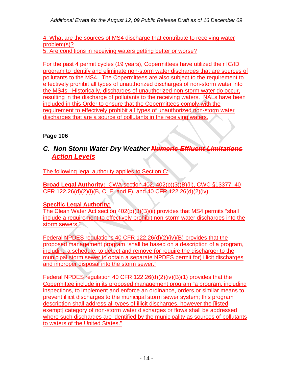*Additional Errata for the August 12, 09 Public Release Draft as of 16 December 09* 

4. What are the sources of MS4 discharge that contribute to receiving water problem(s)?

5. Are conditions in receiving waters getting better or worse?

For the past 4 permit cycles (19 years), Copermittees have utilized their IC/ID program to identify and eliminate non-storm water discharges that are sources of pollutants to the MS4. The Copermittees are also subject to the requirement to effectively prohibit all types of unauthorized discharges of non-storm water into the MS4s. Historically, discharges of unauthorized non-storm water do occur, resulting in the discharge of pollutants to the receiving waters. NALs have been included in this Order to ensure that the Copermittees comply with the requirement to effectively prohibit all types of unauthorized non-storm water discharges that are a source of pollutants in the receiving waters.

# **Page 106**

# *C. Non Storm Water Dry Weather Numeric Effluent Limitations Action Levels*

The following legal authority applies to Section C:

**Broad Legal Authority:** CWA section 402, 402(p)(3)(B)(ii), CWC §13377, 40 CFR 122.26(d)(2)(i)(B, C, E, and F), and 40 CFR 122.26(d)(2)(iv).

# **Specific Legal Authority:**

The Clean Water Act section 402(p)(3)(B)(ii) provides that MS4 permits "shall include a requirement to effectively prohibit non-storm water discharges into the storm sewers."

Federal NPDES regulations 40 CFR 122.26(d)(2)(iv)(B) provides that the proposed management program "shall be based on a description of a program, including a schedule, to detect and remove (or require the discharger to the municipal storm sewer to obtain a separate NPDES permit for) illicit discharges and improper disposal into the storm sewer."

Federal NPDES regulation 40 CFR 122.26(d)(2)(iv)(B)(1) provides that the Copermittee include in its proposed management program "a program, including inspections, to implement and enforce an ordinance, orders or similar means to prevent illicit discharges to the municipal storm sewer system; this program description shall address all types of illicit discharges, however the [listed exempt] category of non-storm water discharges or flows shall be addressed where such discharges are identified by the municipality as sources of pollutants to waters of the United States."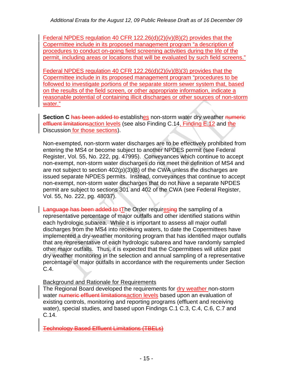Federal NPDES regulation 40 CFR 122.26(d)(2)(iv)(B)(2) provides that the Copermittee include in its proposed management program "a description of procedures to conduct on-going field screening activities during the life of the permit, including areas or locations that will be evaluated by such field screens."

Federal NPDES regulation 40 CFR 122.26(d)(2)(iv)(B)(3) provides that the Copermittee include in its proposed management program "procedures to be followed to investigate portions of the separate storm sewer system that, based on the results of the field screen, or other appropriate information, indicate a reasonable potential of containing illicit discharges or other sources of non-storm water."

**Section C has been added to establishes non-storm water dry weather numeric** effluent limitationsaction levels (see also Finding C.14, Finding E.12 and the Discussion for those sections).

Non-exempted, non-storm water discharges are to be effectively prohibited from entering the MS4 or become subject to another NPDES permit (see Federal Register, Vol. 55, No. 222, pg. 47995). Conveyances which continue to accept non-exempt, non-storm water discharges do not meet the definition of MS4 and are not subject to section 402(p)(3)(B) of the CWA unless the discharges are issued separate NPDES permits. Instead, conveyances that continue to accept non-exempt, non-storm water discharges that do not have a separate NPDES permit are subject to sections 301 and 402 of the CWA (see Federal Register, Vol. 55, No. 222, pg. 48037).

Language has been added to tThe Order requiresing the sampling of a representative percentage of major outfalls and other identified stations within each hydrologic subarea. While it is important to assess all major outfall discharges from the MS4 into receiving waters, to date the Copermittees have implemented a dry-weather monitoring program that has identified major outfalls that are representative of each hydrologic subarea and have randomly sampled other major outfalls. Thus, it is expected that the Copermittees will utilize past dry weather monitoring in the selection and annual sampling of a representative percentage of major outfalls in accordance with the requirements under Section C.4.

# Background and Rationale for Requirements

The Regional Board developed the requirements for dry weather non-storm water numeric effluent limitationsaction levels based upon an evaluation of existing controls, monitoring and reporting programs (effluent and receiving water), special studies, and based upon Findings C.1 C.3, C.4, C.6, C.7 and C.14.

Technology Based Effluent Limitations (TBELs)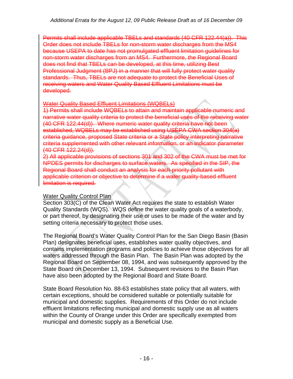Permits shall include applicable TBELs and standards (40 CFR 122.44(a)). This Order does not include TBELs for non-storm water discharges from the MS4 because USEPA to date has not promulgated effluent limitation guidelines for non-storm water discharges from an MS4. Furthermore, the Regional Board does not find that TBELs can be developed, at this time, utilizing Best Professional Judgment (BPJ) in a manner that will fully protect water quality standards. Thus, TBELs are not adequate to protect the Beneficial Uses of receiving waters and Water Quality Based Effluent Limitations must be developed.

# Water Quality Based Effluent Limitations (WQBELs)

1) Permits shall include WQBELs to attain and maintain applicable numeric and narrative water quality criteria to protect the beneficial uses of the receiving water (40 CFR 122.44(d)). Where numeric water quality criteria have not been established, WQBELs may be established using USEPA CWA section 304(a) criteria guidance, proposed State criteria or a State policy interpreting narrative criteria supplemented with other relevant information, or an indicator parameter (40 CFR 122.24(d)).

2) All applicable provisions of sections 301 and 302 of the CWA must be met for NPDES permits for discharges to surface waters. As specified in the SIP, the Regional Board shall conduct an analysis for each priority pollutant with applicable criterion or objective to determine if a water quality-based effluent limitation is required.

# Water Quality Control Plan

Section 303(C) of the Clean Water Act requires the state to establish Water Quality Standards (WQS). WQS define the water quality goals of a waterbody, or part thereof, by designating their use or uses to be made of the water and by setting criteria necessary to protect those uses.

The Regional Board's Water Quality Control Plan for the San Diego Basin (Basin Plan) designates beneficial uses, establishes water quality objectives, and contains implementation programs and policies to achieve those objectives for all waters addressed through the Basin Plan. The Basin Plan was adopted by the Regional Board on September 08, 1994, and was subsequently approved by the State Board on December 13, 1994. Subsequent revisions to the Basin Plan have also been adopted by the Regional Board and State Board.

State Board Resolution No. 88-63 establishes state policy that all waters, with certain exceptions, should be considered suitable or potentially suitable for municipal and domestic supplies. Requirements of this Order do not include effluent limitations reflecting municipal and domestic supply use as all waters within the County of Orange under this Order are specifically exempted from municipal and domestic supply as a Beneficial Use.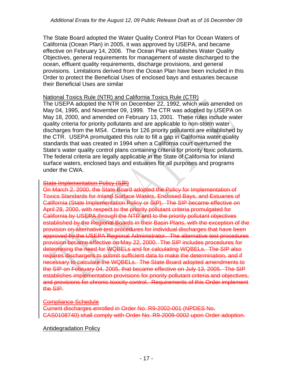The State Board adopted the Water Quality Control Plan for Ocean Waters of California (Ocean Plan) in 2005, it was approved by USEPA, and became effective on February 14, 2006. The Ocean Plan establishes Water Quality Objectives, general requirements for management of waste discharged to the ocean, effluent quality requirements, discharge provisions, and general provisions. Limitations derived from the Ocean Plan have been included in this Order to protect the Beneficial Uses of enclosed bays and estuaries because their Beneficial Uses are similar

### National Toxics Rule (NTR) and California Toxics Rule (CTR)

The USEPA adopted the NTR on December 22, 1992, which was amended on May 04, 1995, and November 09, 1999. The CTR was adopted by USEPA on May 18, 2000, and amended on February 13, 2001. These rules include water quality criteria for priority pollutants and are applicable to non-storm water discharges from the MS4. Criteria for 126 priority pollutants are established by the CTR. USEPA promulgated this rule to fill a gap in California water quality standards that was created in 1994 when a California court overturned the State's water quality control plans containing criteria for priority toxic pollutants. The federal criteria are legally applicable in the State of California for inland surface waters, enclosed bays and estuaries for all purposes and programs under the CWA.

### State Implementation Policy (SIP)

On March 2, 2000, the State Board adopted the Policy for Implementation of Toxics Standards for Inland Surface Waters, Enclosed Bays, and Estuaries of California (State Implementation Policy or SIP). The SIP became effective on April 28, 2000, with respect to the priority pollutant criteria promulgated for California by USEPA through the NTR and to the priority pollutant objectives established by the Regional Boards in their Basin Plans, with the exception of the provision on alternative test procedures for individual discharges that have been approved by the USEPA Regional Administrator. The alternative test procedures provision became effective on May 22, 2000. The SIP includes procedures for determining the need for WQBELs and for calculating WQBELs. The SIP also requires dischargers to submit sufficient data to make the determination, and if necessary to calculate the WQBELs. The State Board adopted amendments to the SIP on February 04, 2005, that became effective on July 13, 2005. The SIP establishes implementation provisions for priority pollutant criteria and objectives, and provisions for chronic toxicity control. Requirements of this Order implement the SIP.

### Compliance Schedule

Current discharges enrolled in Order No. R9-2002-001 (NPDES No. CAS0108740) shall comply with Order No. R9-2009-0002 upon Order adoption.

### Antidegradation Policy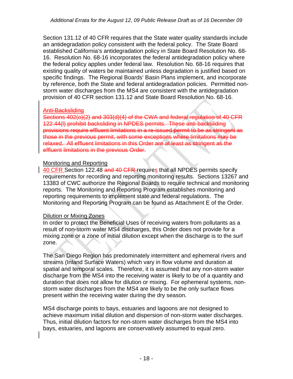Section 131.12 of 40 CFR requires that the State water quality standards include an antidegradation policy consistent with the federal policy. The State Board established California's antidegradation policy in State Board Resolution No. 68- 16. Resolution No. 68-16 incorporates the federal antidegradation policy where the federal policy applies under federal law. Resolution No. 68-16 requires that existing quality of waters be maintained unless degradation is justified based on specific findings. The Regional Boards' Basin Plans implement, and incorporate by reference, both the State and federal antidegradation policies. Permitted nonstorm water discharges from the MS4 are consistent with the antidegradation provision of 40 CFR section 131.12 and State Board Resolution No. 68-16.

# Anti-Backsliding

Sections 402(o)(2) and 303(d)(4) of the CWA and federal regulation of 40 CFR 122.44(l) prohibit backsliding in NPDES permits. These anti-backsliding provisions require effluent limitations in a re-issued permit to be as stringent as those in the previous permit, with some exceptions where limitations may be relaxed. All effluent limitations in this Order are at least as stringent as the effluent limitations in the previous Order.

# Monitoring and Reporting

40 CFR Section 122.48 and 40 CFR requires that all NPDES permits specify requirements for recording and reporting monitoring results. Sections 13267 and 13383 of CWC authorize the Regional Boards to require technical and monitoring reports. The Monitoring and Reporting Program establishes monitoring and reporting requirements to implement state and federal regulations. The Monitoring and Reporting Program can be found as Attachment E of the Order.

# Dilution or Mixing Zones

In order to protect the Beneficial Uses of receiving waters from pollutants as a result of non-storm water MS4 discharges, this Order does not provide for a mixing zone or a zone of initial dilution except when the discharge is to the surf zone.

The San Diego Region has predominately intermittent and ephemeral rivers and streams (Inland Surface Waters) which vary in flow volume and duration at spatial and temporal scales. Therefore, it is assumed that any non-storm water discharge from the MS4 into the receiving water is likely to be of a quantity and duration that does not allow for dilution or mixing. For ephemeral systems, nonstorm water discharges from the MS4 are likely to be the only surface flows present within the receiving water during the dry season.

MS4 discharge points to bays, estuaries and lagoons are not designed to achieve maximum initial dilution and dispersion of non-storm water discharges. Thus, initial dilution factors for non-storm water discharges from the MS4 into bays, estuaries, and lagoons are conservatively assumed to equal zero.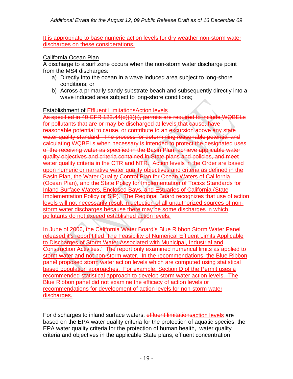*Additional Errata for the August 12, 09 Public Release Draft as of 16 December 09* 

It is appropriate to base numeric action levels for dry weather non-storm water discharges on these considerations.

# California Ocean Plan

A discharge to a surf zone occurs when the non-storm water discharge point from the MS4 discharges:

- a) Directly into the ocean in a wave induced area subject to long-shore conditions; or
- b) Across a primarily sandy substrate beach and subsequently directly into a wave induced area subject to long-shore conditions;

Establishment of Effluent Limitations Action levels

As specified in 40 CFR 122.44(d)(1)(i), permits are required to include WQBELs for pollutants that are or may be discharged at levels that cause, have reasonable potential to cause, or contribute to an excursion above any state water quality standard. The process for determining reasonable potential and calculating WQBELs when necessary is intended to protect the designated uses of the receiving water as specified in the Basin Plan, achieve applicable water quality objectives and criteria contained in State plans and policies, and meet water quality criteria in the CTR and NTR. Action levels in the Order are based upon numeric or narrative water quality objectives and criteria as defined in the Basin Plan, the Water Quality Control Plan for Ocean Waters of California (Ocean Plan), and the State Policy for Implementation of Tocixs Standards for Inland Surface Waters, Enclosed Bays, and Estuaries of California (State Implementation Policy or SIP). The Regional Board recognizes that use of action levels will not necessarily result in detection of all unauthorized sources of nonstorm water discharges because there may be some discharges in which pollutants do not exceed established action levels.

In June of 2006, the California Water Board's Blue Ribbon Storm Water Panel released it's report titled 'The Feasibility of Numerical Effluent Limits Applicable to Discharges of Storm Water Associated with Municipal, Industrial and Construction Activities.' The report only examined numerical limits as applied to storm water and not non-storm water. In the recommendations, the Blue Ribbon panel proposed storm water action levels which are computed using statistical based population approaches. For example, Section D of the Permit uses a recommended statistical approach to develop storm water action levels. The Blue Ribbon panel did not examine the efficacy of action levels or recommendations for development of action levels for non-storm water discharges.

For discharges to inland surface waters, effluent limitations action levels are based on the EPA water quality criteria for the protection of aquatic species, the EPA water quality criteria for the protection of human health, water quality criteria and objectives in the applicable State plans, effluent concentration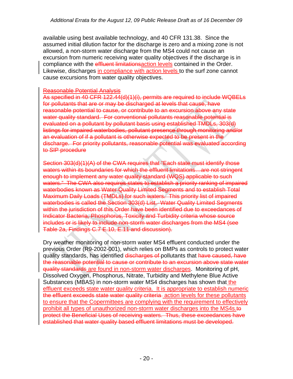available using best available technology, and 40 CFR 131.38. Since the assumed initial dilution factor for the discharge is zero and a mixing zone is not allowed, a non-storm water discharge from the MS4 could not cause an excursion from numeric receiving water quality objectives if the discharge is in compliance with the effluent limitationsaction levels contained in the Order. Likewise, discharges in compliance with action levels to the surf zone cannot cause excursions from water quality objectives.

### Reasonable Potential Analysis

As specified in 40 CFR 122.44(d)(1)(i), permits are required to include WQBELs for pollutants that are or may be discharged at levels that cause, have reasonable potential to cause, or contribute to an excursion above any state water quality standard. For conventional pollutants reasonable potential is evaluated on a pollutant by pollutant basis using established TMDLs, 303(d) listings for impaired waterbodies, pollutant presence through monitoring and/or an evaluation of if a pollutant is otherwise expected to be present in the discharge. For priority pollutants, reasonable potential was evaluated according to SIP procedure

Section 303(d)(1)(A) of the CWA requires that "Each state must identify those waters within its boundaries for which the effluent limitations...are not stringent enough to implement any water quality standard (WQS) applicable to such waters." The CWA also requires states to establish a priority ranking of impaired waterbodies known as Water Quality Limited Segments and to establish Total Maximum Daily Loads (TMDLs) for such waters. This priority list of impaired waterbodies is called the Section 303(d) List. Water Quality Limited Segments within the jurisdiction of this Order have been identified due to exceedances of Indicator Bacteria, Phosphorus, Toxicity and Turbidity criteria whose source includes or is likely to include non-storm water discharges from the MS4 (see Table 2a, Findings C.7 E.10, E.11 and discussion).

Dry weather monitoring of non-storm water MS4 effluent conducted under the previous Order (R9-2002-001), which relies on BMPs as controls to protect water quality standards, has identified discharges of pollutants that have caused, have the reasonable potential to cause or contribute to an excursion above state water quality standards are found in non-storm water discharges. Monitoring of pH, Dissolved Oxygen, Phosphorus, Nitrate, Turbidity and Methylene Blue Active Substances (MBAS) in non-storm water MS4 discharges has shown that the effluent exceeds state water quality criteria. It is appropriate to establish numeric the effluent exceeds state water quality criteria action levels for these pollutants to ensure that the Copermittees are complying with the requirement to effectively prohibit all types of unauthorized non-storm water discharges into the MS4s.to protect the Beneficial Uses of receiving waters. Thus, these exceedances have established that water quality based effluent limitations must be developed.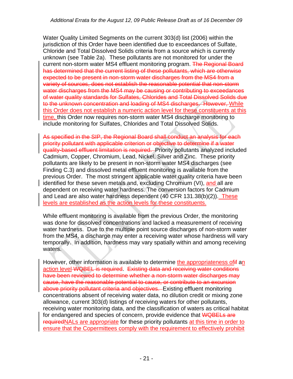Water Quality Limited Segments on the current 303(d) list (2006) within the jurisdiction of this Order have been identified due to exceedances of Sulfate, Chloride and Total Dissolved Solids criteria from a source which is currently unknown (see Table 2a). These pollutants are not monitored for under the current non-storm water MS4 effluent monitoring program. The Regional Board has determined that the current listing of these pollutants, which are otherwise expected to be present in non-storm water discharges from the MS4 from a variety of sources, does not establish the reasonable potential that non-storm water discharges from the MS4 may be causing or contributing to exceedances of water quality standards for Sulfates, Chlorides and Total Dissolved Solids due to the unknown concentration and loading of MS4 discharges. However, While this Order does not establish a numeric action level for these constituents at this time, this Order now requires non-storm water MS4 discharge monitoring to include monitoring for Sulfates, Chlorides and Total Dissolved Solids.

As specified in the SIP, the Regional Board shall conduct an analysis for each priority pollutant with applicable criterion or objective to determine if a water quality-based effluent limitation is required. Priority pollutants analyzed included Cadmium, Copper, Chromium, Lead, Nickel, Silver and Zinc. These priority pollutants are likely to be present in non-storm water MS4 discharges (see Finding C.3) and dissolved metal effluent monitoring is available from the previous Order. The most stringent applicable water quality criteria have been identified for these seven metals and, excluding Chromium (VI), and all are dependent on receiving water hardness. The conversion factors for Cadmium and Lead are also water hardness dependent (40 CFR 131.38(b)(2)). These levels are established as the action levels for these constituents.

While effluent monitoring is available from the previous Order, the monitoring was done for dissolved concentrations and lacked a measurement of receiving water hardness. Due to the multiple point source discharges of non-storm water from the MS4, a discharge may enter a receiving water whose hardness will vary temporally. In addition, hardness may vary spatially within and among receiving waters.

However, other information is available to determine the appropriateness of if an action level WQBEL is required. Existing data and receiving water conditions have been reviewed to determine whether a non-storm water discharges may cause, have the reasonable potential to cause, or contribute to an excursion above priority pollutant criteria and objectives. Existing effluent monitoring concentrations absent of receiving water data, no dilution credit or mixing zone allowance, current 303(d) listings of receiving waters for other pollutants, receiving water monitoring data, and the classification of waters as critical habitat for endangered and species of concern, provide evidence that WQBELs are requiredNALs are appropriate for these priority pollutants at this time in order to ensure that the Copermittees comply with the requirement to effectively prohibit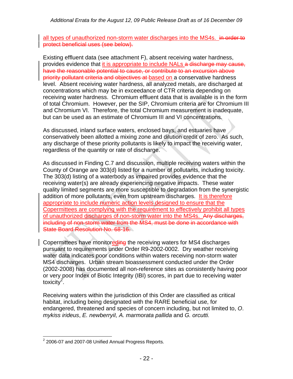all types of unauthorized non-storm water discharges into the MS4s. in order to protect beneficial uses (see below).

Existing effluent data (see attachment F), absent receiving water hardness, provides evidence that it is appropriate to include NALs a discharge may cause, have the reasonable potential to cause, or contribute to an excursion above priority pollutant criteria and objectives at based on a conservative hardness level. Absent receiving water hardness, all analyzed metals, are discharged at concentrations which may be in exceedance of CTR criteria depending on receiving water hardness. Chromium effluent data that is available is in the form of total Chromium. However, per the SIP, Chromium criteria are for Chromium III and Chromium VI. Therefore, the total Chromium measurement is inadequate, but can be used as an estimate of Chromium III and VI concentrations.

As discussed, inland surface waters, enclosed bays, and estuaries have conservatively been allotted a mixing zone and dilution credit of zero. As such, any discharge of these priority pollutants is likely to impact the receiving water, regardless of the quantity or rate of discharge.

As discussed in Finding C.7 and discussion, multiple receiving waters within the County of Orange are 303(d) listed for a number of pollutants, including toxicity. The 303(d) listing of a waterbody as impaired provides evidence that the receiving water(s) are already experiencing negative impacts. These water quality limited segments are more susceptible to degradation from the synergistic addition of more pollutants, even from upstream discharges. It is therefore appropriate to include numeric action levels designed to ensure that the Copermittees are complying with the requirement to effectively prohibit all types of unauthorized discharges of non-storm water into the MS4s. Any discharges, including of non-storm water from the MS4, must be done in accordance with State Board Resolution No. 68-16.

Copermittees have monitoreding the receiving waters for MS4 discharges pursuant to requirements under Order R9-2002-0002. Dry weather receiving water data indicates poor conditions within waters receiving non-storm water MS4 discharges. Urban stream bioassessment conducted under the Order (2002-2008) has documented all non-reference sites as consistently having poor or very poor Index of Biotic Integrity (IBI) scores, in part due to receiving water toxicity $2$ .

Receiving waters within the jurisdiction of this Order are classified as critical habitat, including being designated with the RARE beneficial use, for endangered, threatened and species of concern including, but not limited to, *O*. *mykiss irideus*, *E. newberryiI, A. marmorata pallida* and *G. orcutti.* 

 2 2006-07 and 2007-08 Unified Annual Progress Reports.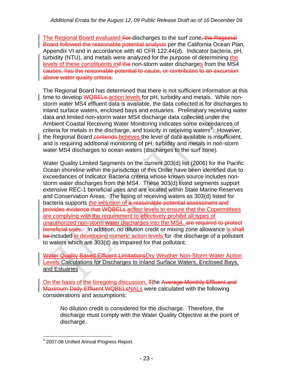The Regional Board evaluated For-discharges to the surf zone, the Regional Board followed the reasonable potential analysis per the California Ocean Plan, Appendix VI and in accordance with 40 CFR 122.44(d). Indicator bacteria, pH, turbidity (NTU), and metals were analyzed for the purpose of determining the levels of these constituents inif the non-storm water discharges from the MS4 causes, has the reasonable potential to cause, or contributes to an excursion above water quality criteria.

The Regional Board has determined that there is not sufficient information at this time to develop WQBELs action levels for pH, turbidity and metals. While nonstorm water MS4 effluent data is available, the data collected is for discharges to inland surface waters, enclosed bays and estuaries. Preliminary receiving water data and limited non-storm water MS4 discharge data collected under the Ambient Coastal Receiving Water Monitoring indicates some exceedances of criteria for metals in the discharge, and toxicity in receiving waters<sup>3</sup>. However, the Regional Board contends believes the level of data available is insufficient. and is requiring additional monitoring of pH, turbidity and metals in non-storm water MS4 discharges to ocean waters (discharges to the surf zone).

Water Quality Limited Segments on the current 303(d) list (2006) for the Pacific Ocean shoreline within the jurisdiction of this Order have been identified due to exceedances of Indicator Bacteria criteria whose known source includes nonstorm water discharges from the MS4. These 303(d) listed segments support extensive REC-1 beneficial uses and are located within State Marine Reserves and Conservation Areas. The listing of receiving waters as 303(d) listed for bacteria supports the inclusion of a reasonable potential assessment and provides evidence that WQBELs action levels to ensure that the Copermittees are complying with the requirement to effectively prohibit all types of unauthorized non-storm water discharges into the MS4. are required to protect beneficial uses. In addition, no dilution credit or mixing zone allowance is shall be-included in developing numeric action levels for -the discharge of a pollutant to waters which are 303(d) as impaired for that pollutant.

Water Quality Based Effluent LimitationsDry Weather Non-Storm Water Action Levels Calculations for Discharges to Inland Surface Waters, Enclosed Bays, and Estuaries

On the basis of the foregoing discussion, Tthe Average Monthly Effluent and Maximum Daily Effluent WQBELsNALs were calculated with the following considerations and assumptions:

No dilution credit is considered for the discharge. Therefore, the discharge must comply with the Water Quality Objective at the point of discharge.

 3 2007-08 Unified Annual Progress Report.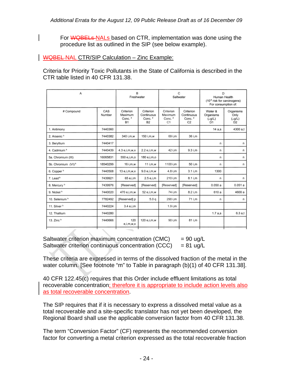For WQBELs-NALs based on CTR, implementation was done using the procedure list as outlined in the SIP (see below example).

WQBEL-NAL CTR/SIP Calculation - Zinc Example:

Criteria for Priority Toxic Pollutants in the State of California is described in the CTR table listed in 40 CFR 131.38.

| Α                              |               | R<br>Freshwater                                         |                                                            | C<br>Saltwater                                   |                                                                 | D<br>Human Health<br>(10 <sup>-6</sup> risk for carcinogens)<br>For consumption of: |                                                    |
|--------------------------------|---------------|---------------------------------------------------------|------------------------------------------------------------|--------------------------------------------------|-----------------------------------------------------------------|-------------------------------------------------------------------------------------|----------------------------------------------------|
| # Compound                     | CAS<br>Number | Criterion<br>Maximum<br>Conc. <sup>d</sup><br><b>B1</b> | Criterion<br>Continuous<br>Conc. <sup>d</sup><br><b>B2</b> | Criterion<br>Maximum<br>Conc. <sup>d</sup><br>C1 | Criterion<br>Continuous<br>Conc. <sup>d</sup><br>C <sub>2</sub> | Water &<br>Organisms<br>$(\mu$ g/L)<br>D1                                           | Organisms<br>Only<br>$(\mu q/L)$<br>D <sub>2</sub> |
| 1. Antimony                    | 7440360       |                                                         |                                                            |                                                  |                                                                 | $14a$ .s                                                                            | 4300 a.t                                           |
| 2. Arsenic <sup>b</sup>        | 7440382       | 340 i.m.w                                               | 150 i.m.w                                                  | 69 i.m                                           | 36 i.m                                                          |                                                                                     |                                                    |
| 3. Beryllium                   | 7440417       |                                                         |                                                            |                                                  |                                                                 | n                                                                                   | n                                                  |
| 4. Cadmium b                   | 7440439       | 4.3 e.i.m.w.x                                           | 2.2 e.i.m.w                                                | 42 i.m                                           | $9.3$ i.m                                                       | n                                                                                   | n                                                  |
| 5a. Chromium (III)             | 16065831      | 550 e.i.m.o                                             | 180 e.i.m.o                                                |                                                  |                                                                 | n                                                                                   | n                                                  |
| 5b. Chromium (VI) <sup>b</sup> | 18540299      | 16 i.m.w                                                | 11 i, m, w                                                 | 1100 i.m                                         | 50 i.m                                                          | n                                                                                   | n                                                  |
| 6. Copper <sup>b</sup>         | 7440508       | 13 e.i.m.w.x                                            | 9.0 e,i,m,w                                                | 4.8 i.m                                          | $3.1$ i.m                                                       | 1300                                                                                |                                                    |
| 7. Lead <sup>b</sup>           | 7439921       | 65 e.i.m                                                | 2.5 e,i,m                                                  | 210 i.m                                          | 8.1 i.m                                                         | n                                                                                   | n                                                  |
| 8. Mercury <sup>b</sup>        | 7439976       | [Reserved]                                              | [Reserved]                                                 | [Reserved]                                       | [Reserved]                                                      | 0.050a                                                                              | 0.051a                                             |
| 9. Nickel <sup>b</sup>         | 7440020       | 470 e.i.m.w                                             | 52 e.i.m.w                                                 | 74 i.m                                           | 8.2 i.m                                                         | 610 a                                                                               | 4600 a                                             |
| 10. Selenium b                 | 7782492       | [Reserved] p                                            | 5.0 <sub>q</sub>                                           | 290 i.m                                          | 71 i.m                                                          | n                                                                                   | n                                                  |
| 11. Silver <sup>b</sup>        | 7440224       | 3.4 e.i.m                                               |                                                            | $1.9$ i.m                                        |                                                                 |                                                                                     |                                                    |
| 12. Thallium                   | 7440280       |                                                         |                                                            |                                                  |                                                                 | $1.7a$ ,s                                                                           | 6.3a.t                                             |
| 13. Zinc b                     | 7440666       | 120<br>e.i,m,w,x                                        | 120 e.i.m.w                                                | 90 i.m                                           | 81 i.m                                                          |                                                                                     |                                                    |
|                                |               |                                                         |                                                            |                                                  |                                                                 |                                                                                     |                                                    |

Saltwater criterion maximum concentration  $(CMC)$  = 90 ug/L Saltwater criterion continuous concentration  $(CCC) = 81$  ug/L

These criteria are expressed in terms of the dissolved fraction of the metal in the water column. [See footnote "m" to Table in paragraph (b)(1) of 40 CFR 131.38].

40 CFR 122.45(c) requires that this Order include effluent limitations as total recoverable concentration; therefore it is appropriate to include action levels also as total recoverable concentration.

The SIP requires that if it is necessary to express a dissolved metal value as a total recoverable and a site-specific translator has not yet been developed, the Regional Board shall use the applicable conversion factor from 40 CFR 131.38.

The term "Conversion Factor" (CF) represents the recommended conversion factor for converting a metal criterion expressed as the total recoverable fraction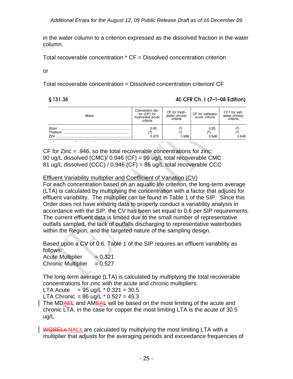in the water column to a criterion expressed as the dissolved fraction in the water column.

Total recoverable concentration \* CF = Dissolved concentration criterion

or

Total recoverable concentration = Dissolved concentration criterion/ CF

§131.38

```
40 CFR Ch. I (7-1-08 Edition)
```

| Metal                      | Conversion fac-<br>tor (CF) for<br>freshwater acute<br>criteria | CF for fresh-<br>water chronic<br>criteria | CF for saltwater<br>acute criteria | $CFa$ for salt-<br>water chronic<br>criteria |
|----------------------------|-----------------------------------------------------------------|--------------------------------------------|------------------------------------|----------------------------------------------|
| Silver<br>Thallium<br>Zinc | 0.85<br>7d<br>0.978                                             | (ď<br>0.986                                | 0.85<br>(ď<br>0.946                | (d)<br>0.946                                 |

CF for Zinc = .946, so the total recoverable concentrations for zinc: 90 ug/L dissolved (CMC)/ 0.946 (CF) = 95 ug/L total recoverable CMC 81 ug/L dissolved (CCC) / 0.946 (CF) = 86 ug/L total recoverable CCC

### Effluent Variability multiplier and Coefficient of Variation (CV)

For each concentration based on an aquatic life criterion, the long-term average (LTA) is calculated by multiplying the concentration with a factor that adjusts for effluent variability. The multiplier can be found in Table 1 of the SIP. Since this Order does not have existing data to properly conduct a variability analysis in accordance with the SIP, the CV has been set equal to 0.6 per SIP requirements. The current effluent data is limited due to the small number of representative outfalls sampled, the lack of outfalls discharging to representative waterbodies within the Region, and the targeted nature of the sampling design.

Based upon a CV of 0.6, Table 1 of the SIP requires an effluent variability as follows:

Acute Multiplier  $= 0.321$ Chronic Multiplier  $= 0.527$ 

The long-term average (LTA) is calculated by multiplying the total recoverable concentrations for zinc with the acute and chronic multipliers:

LTA Acute  $= 95$  ug/L  $*$  0.321 = 30.5

LTA Chronic =  $86 \text{ uq/L} \cdot 0.527 = 45.3$ 

The MDAEL and AMEAL will be based on the most limiting of the acute and chronic LTA, in the case for copper the most limiting LTA is the acute of 30.5 ug/L

WQBELs NALs are calculated by multiplying the most limiting LTA with a multiplier that adjusts for the averaging periods and exceedance frequencies of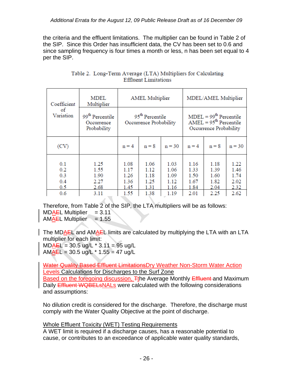the criteria and the effluent limitations. The multiplier can be found in Table 2 of the SIP. Since this Order has insufficient data, the CV has been set to 0.6 and since sampling frequency is four times a month or less, n has been set equal to 4 per the SIP.

| Coefficient                     | <b>MDEL</b><br>Multiplier                                | <b>AMEL Multiplier</b>                                |                                      |                                      |                                      | MDEL/AMEL Multiplier                                                           |                                      |
|---------------------------------|----------------------------------------------------------|-------------------------------------------------------|--------------------------------------|--------------------------------------|--------------------------------------|--------------------------------------------------------------------------------|--------------------------------------|
| of<br>Variation                 | 99 <sup>th</sup> Percentile<br>Occurrence<br>Probability | 95 <sup>th</sup> Percentile<br>Occurrence Probability |                                      |                                      |                                      | $MDEL = 99th Percentile$<br>$AMEL = 95th$ Percentile<br>Occurrence Probability |                                      |
| (CV)                            |                                                          | $n = 4$                                               | $n = 8$                              | $n = 30$                             | $n = 4$                              | $n = 8$                                                                        | $n = 30$                             |
| 0.1<br>0.2<br>0.3<br>0.4<br>0.5 | 1.25<br>1.55<br>1.90<br>2.27<br>2.68                     | 1.08<br>1.17<br>1.26<br>1.36<br>1.45                  | 1.06<br>1.12<br>1.18<br>1.25<br>1.31 | 1.03<br>1.06<br>1.09<br>1.12<br>1.16 | 1.16<br>1.33<br>1.50<br>1.67<br>1.84 | 1.18<br>1.39<br>1.60<br>1.82<br>2.04                                           | 1.22<br>1.46<br>1.74<br>2.02<br>2.32 |
| 0.6                             | 3.11                                                     | 1.55                                                  | 1.38                                 | 1.19                                 | 2.01                                 | 2.25                                                                           | 2.62                                 |

| Table 2. Long-Term Average (LTA) Multipliers for Calculating |                             |  |
|--------------------------------------------------------------|-----------------------------|--|
|                                                              | <b>Effluent Limitations</b> |  |

Therefore, from Table 2 of the SIP, the LTA multipliers will be as follows:  $MDA E L$  Multiplier = 3.11

 $AMAEL$  Multiplier = 1.55

The MDAEL and AMAEL limits are calculated by multiplying the LTA with an LTA multiplier for each limit:  $MDAEL = 30.5$  ug/L  $*$  3.11 = 95 ug/L  $AMAEL = 30.5$  ug/L  $*$  1.55 = 47 ug/L

Water Quality Based Effluent LimitationsDry Weather Non-Storm Water Action Levels Calculations for Discharges to the Surf Zone Based on the foregoing discussion, Tthe Average Monthly Effluent and Maximum Daily Effluent WQBELSNALs were calculated with the following considerations and assumptions:

No dilution credit is considered for the discharge. Therefore, the discharge must comply with the Water Quality Objective at the point of discharge.

Whole Effluent Toxicity (WET) Testing Requirements

A WET limit is required if a discharge causes, has a reasonable potential to cause, or contributes to an exceedance of applicable water quality standards,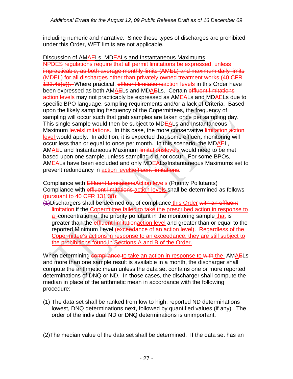including numeric and narrative. Since these types of discharges are prohibited under this Order, WET limits are not applicable.

Discussion of AMAELs, MDEALs and Instantaneous Maximums NPDES regulations require that all permit limitations be expressed, unless impracticable, as both average monthly limits (AMEL) and maximum daily limits (MDEL) for all discharges other than privately owned treatment works (40 CFR 122.45(d)). Where practical, effluent limitations action levels in this Order have been expressed as both AMAELs and MDAELs. Certain effluent limitations action levels may not practicably be expressed as AMEALs and MDAELs due to specific BPO language, sampling requirements and/or a lack of Criteria. Based upon the likely sampling frequency of the Copermittees, the frequency of sampling will occur such that grab samples are taken once per sampling day. This single sample would then be subject to MDEALs and Instantaneous Maximum levelslimitations. In this case, the more conservative limitation action level would apply. In addition, it is expected that some effluent monitoring will occur less than or equal to once per month. In this scenario, the MDAEL, AMAEL and Instantaneous Maximum limitationslevels would need to be met based upon one sample, unless sampling did not occur. For some BPOs, AMEALs have been excluded and only MDEALs/Instantaneous Maximums set to prevent redundancy in action levelseffluent limitations.

Compliance with Effluent Limitations Action levels (Priority Pollutants) Compliance with effluent limitations action levels shall be determined as follows (pursuant to 40 CFR 131.38):

(4) Dischargers shall be deemed out of compliance this Order with an effluent limitation if the Copermittee failed to take the prescribed action in response to a -concentration of the priority pollutant in the monitoring sample that is greater than the effluent limitationaction level and greater than or equal to the reported Minimum Level (exceedance of an action level). Regardless of the Copermittee's actions in response to an exceedance, they are still subject to the prohibitions found in Sections A and B of the Order.

When determining compliance to take an action in response to with the AMAELs and more than one sample result is available in a month, the discharger shall compute the arithmetic mean unless the data set contains one or more reported determinations of DNQ or ND. In those cases, the discharger shall compute the median in place of the arithmetic mean in accordance with the following procedure:

(1) The data set shall be ranked from low to high, reported ND determinations lowest, DNQ determinations next, followed by quantified values (if any). The order of the individual ND or DNQ determinations is unimportant.

(2)The median value of the data set shall be determined. If the data set has an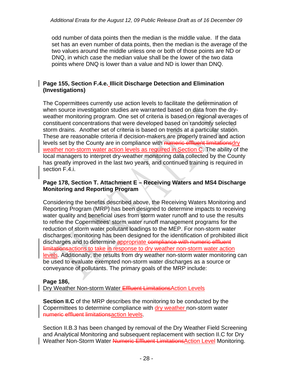odd number of data points then the median is the middle value. If the data set has an even number of data points, then the median is the average of the two values around the middle unless one or both of those points are ND or DNQ, in which case the median value shall be the lower of the two data points where DNQ is lower than a value and ND is lower than DNQ.

# **Page 155, Section F.4.e. Illicit Discharge Detection and Elimination (Investigations)**

The Copermittees currently use action levels to facilitate the determination of when source investigation studies are warranted based on data from the dryweather monitoring program. One set of criteria is based on regional averages of constituent concentrations that were developed based on randomly selected storm drains. Another set of criteria is based on trends at a particular station. These are reasonable criteria if decision-makers are properly trained and action levels set by the County are in compliance with numeric effluent limitationsdry weather non-storm water action levels as required in Section C. The ability of the local managers to interpret dry-weather monitoring data collected by the County has greatly improved in the last two years, and continued training is required in section F.4.i.

### **Page 178, Section T. Attachment E – Receiving Waters and MS4 Discharge Monitoring and Reporting Program**

Considering the benefits described above, the Receiving Waters Monitoring and Reporting Program (MRP) has been designed to determine impacts to receiving water quality and beneficial uses from storm water runoff and to use the results to refine the Copermittees' storm water runoff management programs for the reduction of storm water pollutant loadings to the MEP. For non-storm water discharges, monitoring has been designed for the identification of prohibited illicit discharges and to determine appropriate compliance with numeric effluent limitationsactions to take in response to dry weather non-storm water action levels. Additionally, the results from dry weather non-storm water monitoring can be used to evaluate exempted non-storm water discharges as a source or conveyance of pollutants. The primary goals of the MRP include:

# **Page 186,**

Dry Weather Non-storm Water Effluent LimitationsAction Levels

**Section II.C** of the MRP describes the monitoring to be conducted by the Copermittees to determine compliance with dry weather non-storm water numeric effluent limitationsaction levels.

Section II.B.3 has been changed by removal of the Dry Weather Field Screening and Analytical Monitoring and subsequent replacement with section II.C for Dry Weather Non-Storm Water Numeric Effluent Limitations Action Level Monitoring.